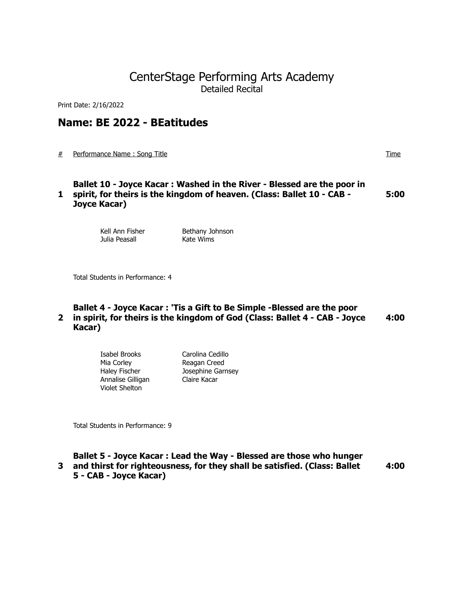## CenterStage Performing Arts Academy Detailed Recital

Print Date: 2/16/2022

## **Name: BE 2022 - BEatitudes**

# Performance Name : Song Title Time

**1 spirit, for theirs is the kingdom of heaven. (Class: Ballet 10 - CAB - Ballet 10 - Joyce Kacar : Washed in the River - Blessed are the poor in Joyce Kacar) 5:00**

> Kell Ann Fisher Bethany Johnson Julia Peasall **Kate Wims**

Total Students in Performance: 4

### **2 in spirit, for theirs is the kingdom of God (Class: Ballet 4 - CAB - Joyce Ballet 4 - Joyce Kacar : 'Tis a Gift to Be Simple -Blessed are the poor Kacar) 4:00**

| Isabel Brooks        | Carolina Cedillo  |
|----------------------|-------------------|
| Mia Corley           | Reagan Creed      |
| <b>Haley Fischer</b> | Josephine Garnsey |
| Annalise Gilligan    | Claire Kacar      |
| Violet Shelton       |                   |

Total Students in Performance: 9

| Ballet 5 - Joyce Kacar : Lead the Way - Blessed are those who hunger        |      |
|-----------------------------------------------------------------------------|------|
| 3 and thirst for righteousness, for they shall be satisfied. (Class: Ballet | 4:00 |
| 5 - CAB - Joyce Kacar)                                                      |      |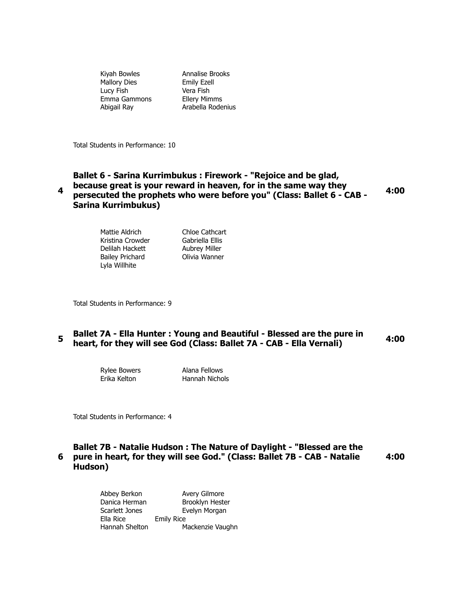Kiyah Bowles Annalise Brooks Mallory Dies **Emily Exell** Lucy Fish Vera Fish Emma Gammons Ellery Mimms

Abigail Ray **Arabella Rodenius** 

Total Students in Performance: 10

#### **4 Ballet 6 - Sarina Kurrimbukus : Firework - "Rejoice and be glad, because great is your reward in heaven, for in the same way they persecuted the prophets who were before you" (Class: Ballet 6 - CAB - Sarina Kurrimbukus) 4:00**

| Mattie Aldrich         | Chloe Cathcart       |
|------------------------|----------------------|
| Kristina Crowder       | Gabriella Ellis      |
| Delilah Hackett        | <b>Aubrey Miller</b> |
| <b>Bailey Prichard</b> | Olivia Wanner        |
| Lyla Willhite          |                      |
|                        |                      |

Total Students in Performance: 9

## **5** Ballet 7A - Ella Hunter : Young and Beautiful - Blessed are the pure in **heart, for they will see God (Class: Ballet 7A - CAB - Ella Vernali) 4:00**

Rylee Bowers **Alana Fellows** 

Erika Kelton Hannah Nichols

Total Students in Performance: 4

### **6 pure in heart, for they will see God." (Class: Ballet 7B - CAB - Natalie Ballet 7B - Natalie Hudson : The Nature of Daylight - "Blessed are the Hudson) 4:00**

| Abbey Berkon   | Avery Gilmore     |
|----------------|-------------------|
| Danica Herman  | Brooklyn Hester   |
| Scarlett Jones | Evelyn Morgan     |
| Ella Rice      | <b>Emily Rice</b> |
| Hannah Shelton | Mackenzie Vaughn  |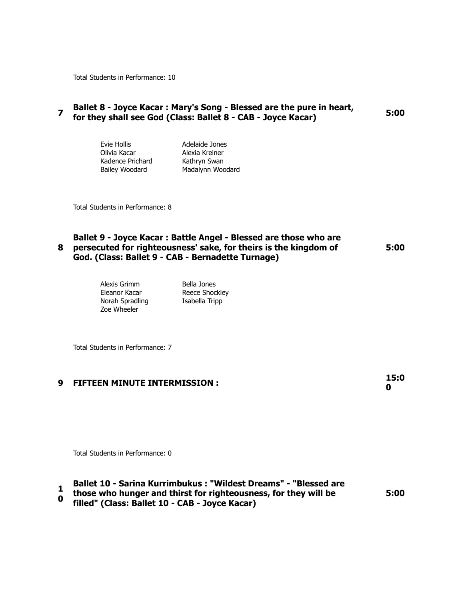Total Students in Performance: 10

### **Pallet 8 - Joyce Kacar : Mary's Song - Blessed are the pure in heart, for they shall see God (Class: Ballet 8 - CAB - Joyce Kacar) 5:00**

| Evie Hollis      | Adelaide Jones   |
|------------------|------------------|
| Olivia Kacar     | Alexia Kreiner   |
| Kadence Prichard | Kathryn Swan     |
| Bailey Woodard   | Madalynn Woodard |

Total Students in Performance: 8

### **8 persecuted for righteousness' sake, for theirs is the kingdom of Ballet 9 - Joyce Kacar : Battle Angel - Blessed are those who are God. (Class: Ballet 9 - CAB - Bernadette Turnage) 5:00**

| Alexis Grimm<br>Eleanor Kacar<br>Norah Spradling<br>Zoe Wheeler | Bella Jones<br>Reece Shockley<br>Isabella Tripp |
|-----------------------------------------------------------------|-------------------------------------------------|
|                                                                 |                                                 |

Total Students in Performance: 7

# **9 FIFTEEN MINUTE INTERMISSION : 15:0**

**0**

Total Students in Performance: 0

# **1 Ballet 10 - Sarina Kurrimbukus : "Wildest Dreams" - "Blessed are**

- **0 those who hunger and thirst for righteousness, for they will be**
- **filled" (Class: Ballet 10 CAB Joyce Kacar)**

**5:00**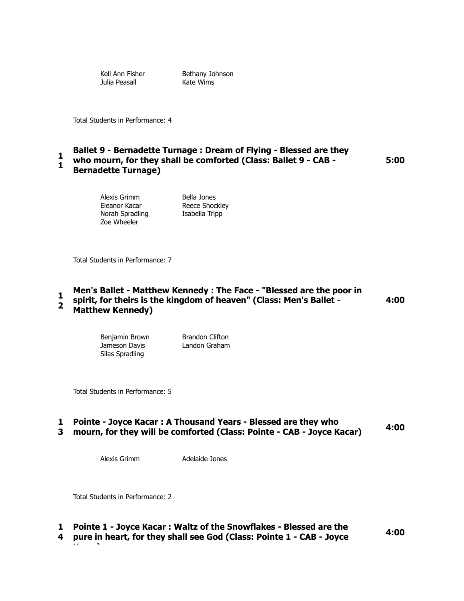Julia Peasall Kate Wims

Kell Ann Fisher **Bethany Johnson** 

Total Students in Performance: 4

#### **1 1 Ballet 9 - Bernadette Turnage : Dream of Flying - Blessed are they who mourn, for they shall be comforted (Class: Ballet 9 - CAB -**

### **Bernadette Turnage)**

Alexis Grimm Bella Jones Norah Spradling **Isabella Tripp** Zoe Wheeler

Eleanor Kacar Reece Shockley

Total Students in Performance: 7

#### **1 2 Men's Ballet - Matthew Kennedy : The Face - "Blessed are the poor in spirit, for theirs is the kingdom of heaven" (Class: Men's Ballet - Matthew Kennedy) 4:00**

Benjamin Brown Brandon Clifton Jameson Davis Landon Graham Silas Spradling

Total Students in Performance: 5

## **1 Pointe - Joyce Kacar : A Thousand Years - Blessed are they who**

# **3 mourn, for they will be comforted (Class: Pointe - CAB - Joyce Kacar) 4:00**

Alexis Grimm Adelaide Jones

Total Students in Performance: 2

**Kacar)**

## **1 Pointe 1 - Joyce Kacar : Waltz of the Snowflakes - Blessed are the**

**4 pure in heart, for they shall see God (Class: Pointe 1 - CAB - Joyce** 

**4:00**

**5:00**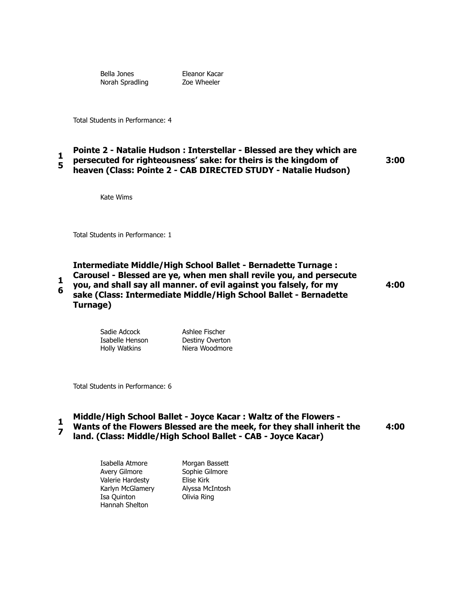Norah Spradling **Zoe Wheeler** 

Bella Jones Eleanor Kacar

Total Students in Performance: 4

#### **1 5 Pointe 2 - Natalie Hudson : Interstellar - Blessed are they which are persecuted for righteousness' sake: for theirs is the kingdom of heaven (Class: Pointe 2 - CAB DIRECTED STUDY - Natalie Hudson)**

**3:00**

Kate Wims

Total Students in Performance: 1

**1 6 Intermediate Middle/High School Ballet - Bernadette Turnage : Carousel - Blessed are ye, when men shall revile you, and persecute you, and shall say all manner. of evil against you falsely, for my sake (Class: Intermediate Middle/High School Ballet - Bernadette Turnage)**

**4:00**

| Sadie Adcock         | Ashlee Fischer  |
|----------------------|-----------------|
| Isabelle Henson      | Destiny Overton |
| <b>Holly Watkins</b> | Niera Woodmore  |

Total Students in Performance: 6

- **1 Middle/High School Ballet - Joyce Kacar : Waltz of the Flowers -**
- **7 Wants of the Flowers Blessed are the meek, for they shall inherit the land. (Class: Middle/High School Ballet - CAB - Joyce Kacar) 4:00**

Isabella Atmore Morgan Bassett Avery Gilmore Sophie Gilmore Valerie Hardesty Elise Kirk Karlyn McGlamery Alyssa McIntosh Isa Quinton Olivia Ring Hannah Shelton